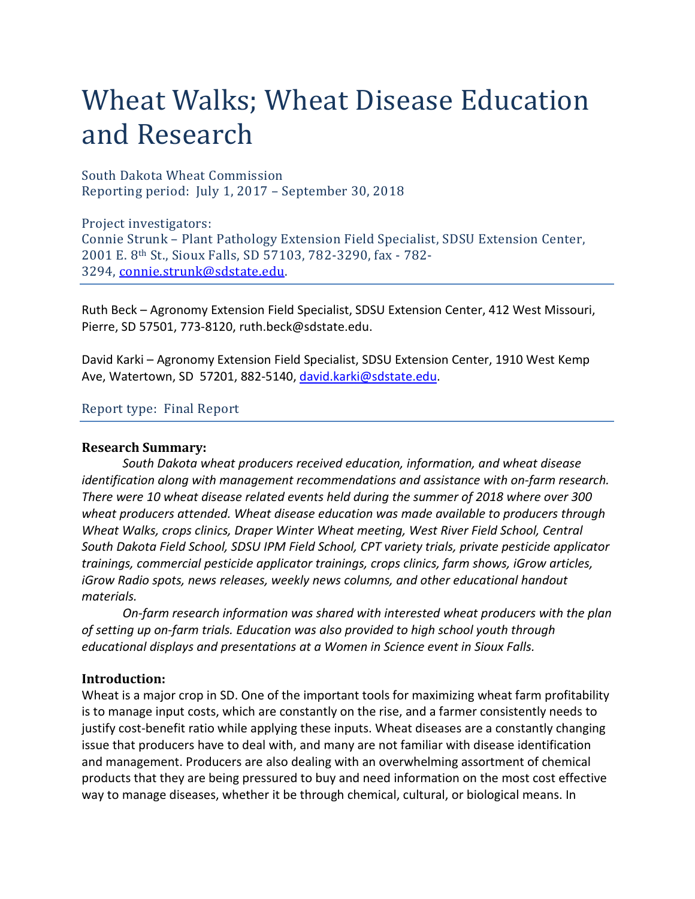# Wheat Walks; Wheat Disease Education and Research Wheat Walks; Wheat Disease Education<br>and Research<br>South Dakota Wheat Commission<br>Reporting period: July 1, 2017 – September 30, 2018<br>Project investigators:<br>Connie Strunk – Plant Pathology Extension Field Specialist, SDSU Ex

South Dakota Wheat Commission

Project investigators: Connie Strunk – Plant Pathology Extension Field Specialist, SDSU Extension Center, 2001 E. 8th St., Sioux Falls, SD 57103, 782-3290, fax - 782- 3294, connie.strunk@sdstate.edu.

Ruth Beck – Agronomy Extension Field Specialist, SDSU Extension Center, 412 West Missouri, Pierre, SD 57501, 773-8120, ruth.beck@sdstate.edu.

David Karki – Agronomy Extension Field Specialist, SDSU Extension Center, 1910 West Kemp Ave, Watertown, SD 57201, 882-5140, david.karki@sdstate.edu.

#### Report type: Final Report

#### Research Summary:

South Dakota wheat producers received education, information, and wheat disease identification single in the state of the manifology Extension Field Specialist, SDSU Extension Center,<br>2001 E. 8<sup>th</sup> St., Sioux Falls, SD 57103, 782-3290, fax - 782-<br>3294, <u>connie.strunk@sdstate.edu</u><br>Ruth Beck – Agronomy There were 10 wheat disease related events held during the summer of 2018 where over 300 wheat producers attended. Wheat disease education was made available to producers through Wheat Walks, crops clinics, Draper Winter Wheat meeting, West River Field School, Central South Dakota Field School, SDSU IPM Field School, CPT variety trials, private pesticide applicator trainings, commercial pesticide applicator trainings, crops clinics, farm shows, iGrow articles, iGrow Radio spots, news releases, weekly news columns, and other educational handout materials. David Karki – Agronomy Extension Field Specialist, SDSU Extension Center, 1910 West Kemp<br>Ave, Watertown, SD 57201, 882-5140, <u>david.karki@sdstate.edu</u>.<br>Report type: Final Report<br>**Research Summary:**<br>South Dakota wheat produ betwickins- - exponding caterial on the species of the important center, 1320 west kemp<br>Ave, Watertown, SD 57201, 882-5140, <u>david karki@sdstate.edu</u>.<br>
Source type: Final Report<br>
Research Summary:<br>
Source is not back whete

On-farm research information was shared with interested wheat producers with the plan

#### Introduction:

Wheat is a major crop in SD. One of the important tools for maximizing wheat farm profitability is to manage input costs, which are constantly on the rise, and a farmer consistently needs to justify cost-benefit ratio while applying these inputs. Wheat diseases are a constantly changing issue that producers have to deal with, and many are not familiar with disease identification and management. Producers are also dealing with an overwhelming assortment of chemical products that they are being pressured to buy and need information on the most cost effective way to manage diseases, whether it be through chemical, cultural, or biological means. In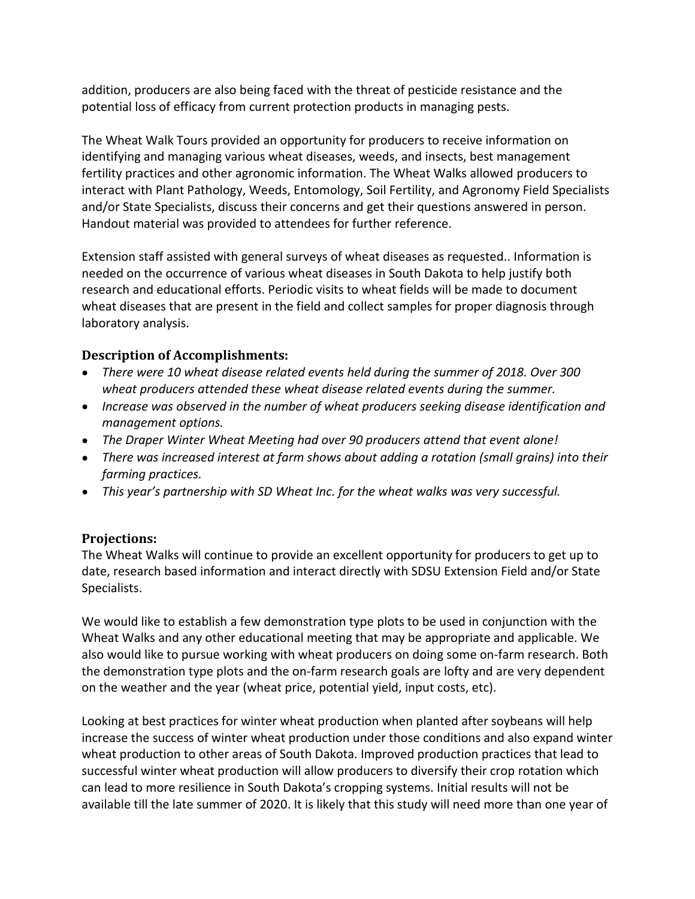addition, producers are also being faced with the threat of pesticide resistance and the potential loss of efficacy from current protection products in managing pests.

The Wheat Walk Tours provided an opportunity for producers to receive information on identifying and managing various wheat diseases, weeds, and insects, best management addition, producers are also being faced with the threat of pesticide resistance and the potential loss of efficacy from current protection products in managing pests.<br>The Wheat Walk Tours provided an opportunity for produ addition, producers are also being faced with the threat of pesticide resistance and the potential loss of efficacy from current protection products in managing pests.<br>The Wheat Walk Tours provided an opportunity for produ and/or State Specialists, discuss their concerns and get their questions answered in person. Handout material was provided to attendees for further reference. addition, producers are also being faced with the threat of pesticide resistance and the potential loss of efficacy from current protection products in managing pests.<br>The Wheat Walk Tours provided an opportunity for produ

needed on the occurrence of various wheat diseases in South Dakota to help justify both research and educational efforts. Periodic visits to wheat fields will be made to document wheat diseases that are present in the field and collect samples for proper diagnosis through laboratory analysis. IIITy practices and other agronomic information. The wheat vialax allowed producers to<br>ract with Plant Pathology, Weeds, Entomology, Soil Fertility, and Agronomy Field Specialists<br>/or State Specialists, discuss their conce

## Description of Accomplishments:

- There were 10 wheat disease related events held during the summer of 2018. Over 300 wheat producers attended these wheat disease related events during the summer.
- Increase was observed in the number of wheat producers seeking disease identification and management options.
- The Draper Winter Wheat Meeting had over 90 producers attend that event alone!
- farming practices.
- This year's partnership with SD Wheat Inc. for the wheat walks was very successful.

# Projections:

The Wheat Walks will continue to provide an excellent opportunity for producers to get up to date, research based information and interact directly with SDSU Extension Field and/or State Specialists.

**Description of Accomplishments:**<br>
• There were 10 wheat disease related events held during the summer of 2018. Over 300<br>
• wheat producers attended these wheat disease related events during the summer.<br>
• Increase was obs Wheat Walks and any other educational meeting that may be appropriate and applicable. We • There were 10 wheat disease related events held during the summer of 2018. Over 300<br>
• Increase was observed in the number of wheat producers seeking disease identification and<br>
• The Droper Winter Wheat Meeting had over the demonstration type plots and the on-farm research goals are lofty and are very dependent on the weather and the year (wheat price, potential yield, input costs, etc).

Looking at best practices for winter wheat production when planted after soybeans will help increase the success of winter wheat production under those conditions and also expand winter wheat production to other areas of South Dakota. Improved production practices that lead to successful winter wheat production will allow producers to diversify their crop rotation which can lead to more resilience in South Dakota's cropping systems. Initial results will not be available till the late summer of 2020. It is likely that this study will need more than one year of